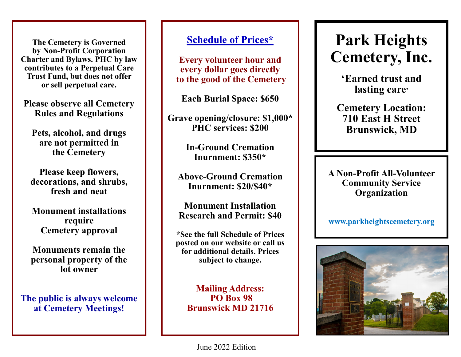**The Cemetery is Governed by Non-Profit Corporation Charter and Bylaws. PHC by law contributes to a Perpetual Care Trust Fund, but does not offer or sell perpetual care.**

**Please observe all Cemetery Rules and Regulations**

**Pets, alcohol, and drugs are not permitted in the Cemetery**

**Please keep flowers, decorations, and shrubs, fresh and neat**

**Monument installations require Cemetery approval**

**Monuments remain the personal property of the lot owner** 

**The public is always welcome at Cemetery Meetings!**

# **Schedule of Prices\***

**Every volunteer hour and every dollar goes directly to the good of the Cemetery**

**Each Burial Space: \$650**

**Grave opening/closure: \$1,000\* PHC services: \$200** 

> **In-Ground Cremation Inurnment: \$350\***

**Above-Ground Cremation Inurnment: \$20/\$40\*** 

**Monument Installation Research and Permit: \$40** 

**\*See the full Schedule of Prices posted on our website or call us for additional details. Prices subject to change.**

**Mailing Address: PO Box 98 Brunswick MD 21716**

# **Park Heights Cemetery, Inc.**

**'Earned trust and lasting care'**

**Cemetery Location: 710 East H Street Brunswick, MD**

**A Non-Profit All-Volunteer Community Service Organization** 

**www.parkheightscemetery.org**